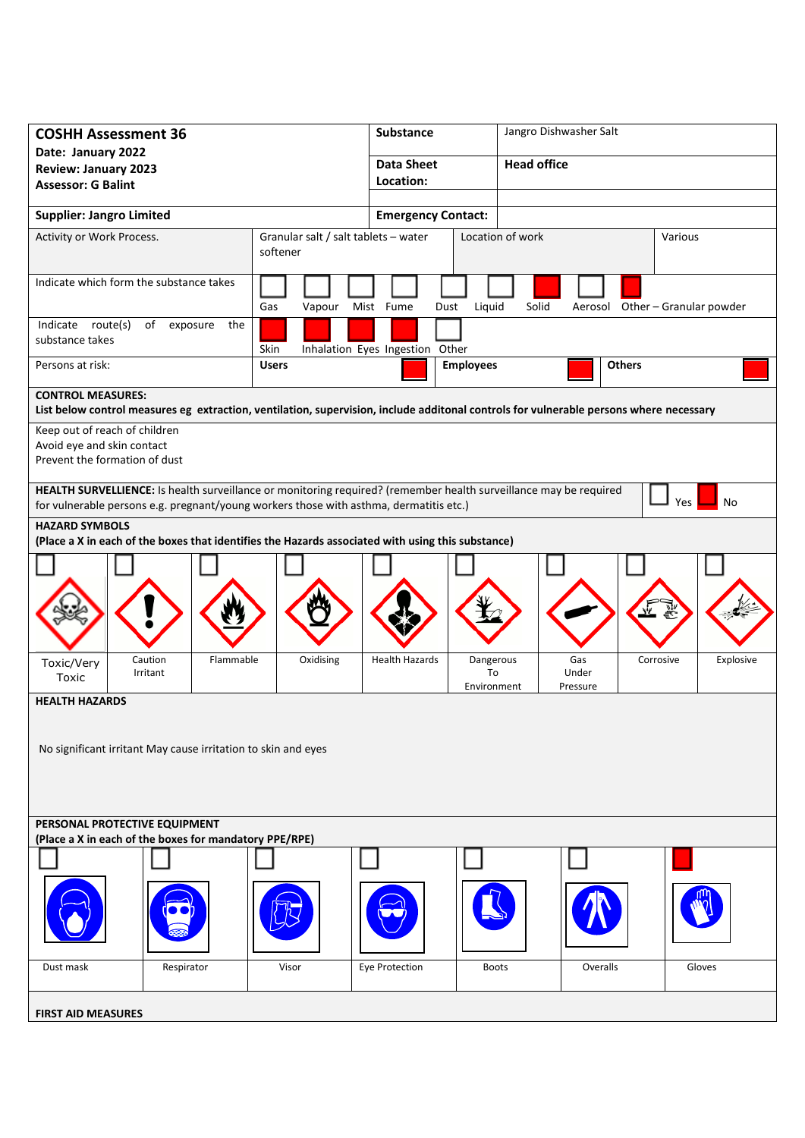| <b>COSHH Assessment 36</b>                                                                                                                                                                                               |                                         | <b>Substance</b>      |                                | Jangro Dishwasher Salt   |                                 |           |           |  |
|--------------------------------------------------------------------------------------------------------------------------------------------------------------------------------------------------------------------------|-----------------------------------------|-----------------------|--------------------------------|--------------------------|---------------------------------|-----------|-----------|--|
| Date: January 2022<br><b>Review: January 2023</b>                                                                                                                                                                        |                                         | <b>Data Sheet</b>     |                                | <b>Head office</b>       |                                 |           |           |  |
| <b>Assessor: G Balint</b>                                                                                                                                                                                                |                                         | Location:             |                                |                          |                                 |           |           |  |
|                                                                                                                                                                                                                          |                                         |                       |                                |                          |                                 |           |           |  |
| <b>Supplier: Jangro Limited</b>                                                                                                                                                                                          | <b>Emergency Contact:</b>               |                       |                                |                          |                                 |           |           |  |
| Granular salt / salt tablets - water<br>Activity or Work Process.<br>softener                                                                                                                                            |                                         |                       |                                | Location of work         |                                 | Various   |           |  |
| Indicate which form the substance takes                                                                                                                                                                                  | Gas<br>Vapour                           | Mist Fume<br>Dust     | Liquid                         | Solid                    | Aerosol Other - Granular powder |           |           |  |
| Indicate route(s)<br>of<br>exposure<br>the<br>substance takes                                                                                                                                                            | Skin<br>Inhalation Eyes Ingestion Other |                       |                                |                          |                                 |           |           |  |
| Persons at risk:<br><b>Users</b>                                                                                                                                                                                         |                                         |                       | <b>Employees</b>               |                          | <b>Others</b>                   |           |           |  |
| <b>CONTROL MEASURES:</b><br>List below control measures eg extraction, ventilation, supervision, include additonal controls for vulnerable persons where necessary                                                       |                                         |                       |                                |                          |                                 |           |           |  |
| Keep out of reach of children                                                                                                                                                                                            |                                         |                       |                                |                          |                                 |           |           |  |
| Avoid eye and skin contact                                                                                                                                                                                               |                                         |                       |                                |                          |                                 |           |           |  |
| Prevent the formation of dust                                                                                                                                                                                            |                                         |                       |                                |                          |                                 |           |           |  |
| HEALTH SURVELLIENCE: Is health surveillance or monitoring required? (remember health surveillance may be required<br>Yes<br>No<br>for vulnerable persons e.g. pregnant/young workers those with asthma, dermatitis etc.) |                                         |                       |                                |                          |                                 |           |           |  |
| <b>HAZARD SYMBOLS</b><br>(Place a X in each of the boxes that identifies the Hazards associated with using this substance)                                                                                               |                                         |                       |                                |                          |                                 |           |           |  |
|                                                                                                                                                                                                                          |                                         |                       |                                |                          |                                 |           |           |  |
|                                                                                                                                                                                                                          |                                         |                       |                                |                          |                                 |           |           |  |
| Caution<br>Flammable<br>Toxic/Very<br>Irritant<br>Toxic                                                                                                                                                                  | Oxidising                               | <b>Health Hazards</b> | Dangerous<br>To<br>Environment | Gas<br>Under<br>Pressure |                                 | Corrosive | Explosive |  |
| <b>HEALTH HAZARDS</b>                                                                                                                                                                                                    |                                         |                       |                                |                          |                                 |           |           |  |
| No significant irritant May cause irritation to skin and eyes                                                                                                                                                            |                                         |                       |                                |                          |                                 |           |           |  |
| PERSONAL PROTECTIVE EQUIPMENT<br>(Place a X in each of the boxes for mandatory PPE/RPE)                                                                                                                                  |                                         |                       |                                |                          |                                 |           |           |  |
|                                                                                                                                                                                                                          |                                         |                       |                                |                          |                                 |           |           |  |
|                                                                                                                                                                                                                          |                                         |                       |                                |                          |                                 |           |           |  |
| Dust mask<br>Respirator                                                                                                                                                                                                  | Visor                                   | Eye Protection        | <b>Boots</b>                   |                          | Overalls                        |           | Gloves    |  |
| <b>FIRST AID MEASURES</b>                                                                                                                                                                                                |                                         |                       |                                |                          |                                 |           |           |  |